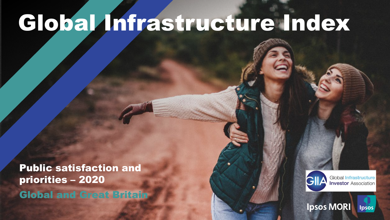# Global Infrastructure Index

Public satisfaction and priorities – 2020 Global and Great Britain

© Ipsos | Doc Name | Month Year | Version # | Public | Internal/Client Use Only | Strictly Confidential



**Ipsos MORI** 

**Global Infrastructure Investor Association** 

lpsos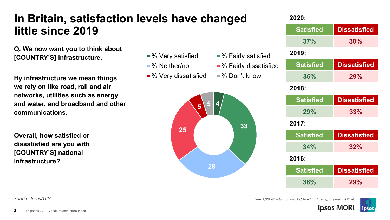#### **In Britain, satisfaction levels have changed little since 2019**

**Q. We now want you to think about [COUNTRY'S] infrastructure.**

**By infrastructure we mean things we rely on like road, rail and air networks, utilities such as energy and water, and broadband and other communications.**

**Overall, how satisfied or dissatisfied are you with [COUNTRY'S] national infrastructure?**

- % Very satisfied % Fairly satisfied
- % Neither/nor % Fairly dissatisfied
- % Very dissatisfied % Don't know



| 2020:            |                     |
|------------------|---------------------|
| <b>Satisfied</b> | <b>Dissatisfied</b> |
| 37%              | 30%                 |
| 2019:            |                     |
| <b>Satisfied</b> | <b>Dissatisfied</b> |
| 36%              | 29%                 |
| 2018:            |                     |
| <b>Satisfied</b> | <b>Dissatisfied</b> |
| 29%              | 33%                 |
| 2017:            |                     |
| <b>Satisfied</b> | <b>Dissatisfied</b> |
| 34%              | 32%                 |
| 2016:            |                     |
| <b>Satisfied</b> | <b>Dissatisfied</b> |
| 36%              | 29%                 |

#### *Base: 1,001 GB adults among 19,516 adults (online), July-August 2020*



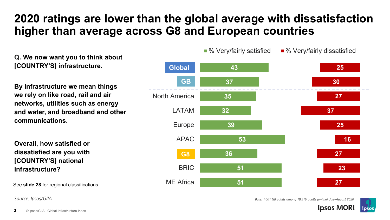### **2020 ratings are lower than the global average with dissatisfaction higher than average across G8 and European countries**

**Q. We now want you to think about [COUNTRY'S] infrastructure.**

**By infrastructure we mean things we rely on like road, rail and air networks, utilities such as energy and water, and broadband and other communications.**

**Overall, how satisfied or dissatisfied are you with [COUNTRY'S] national infrastructure?**

See **slide 28** for regional classifications

*Source: Ipsos/GIIA*



*Base: 1,001 GB adults among 19,516 adults (online), July-August 2020*

**Ipsos MORI** 



 $\blacksquare$ % Very/fairly satisfied  $\blacksquare$ % Very/fairly dissatisfied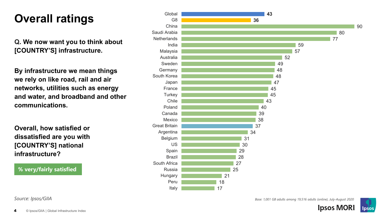### **Overall ratings**

**Q. We now want you to think about [COUNTRY'S] infrastructure.**

**By infrastructure we mean things we rely on like road, rail and air networks, utilities such as energy and water, and broadband and other communications.**

**Overall, how satisfied or dissatisfied are you with [COUNTRY'S] national infrastructure?**

**% very/fairly satisfied**



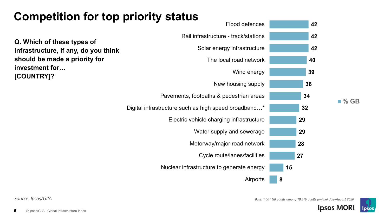### **Competition for top priority status**

**Q. Which of these types of infrastructure, if any, do you think should be made a priority for investment for… [COUNTRY]?**



**% GB**





**Ipsos MORI**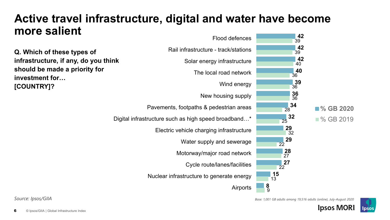#### **42 Active travel infrastructure, digital and water have become more salient**



*Base: 1,001 GB adults among 19,516 adults (online), July-August 2020*



**Ipsos MORI**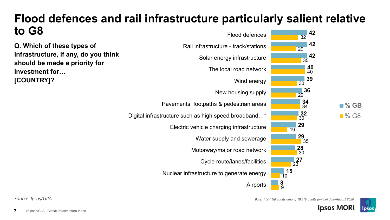#### **42** 32 Flood defences **Flood defences and rail infrastructure particularly salient relative to G8**

**Q. Which of these types of infrastructure, if any, do you think should be made a priority for investment for… [COUNTRY]?**





**Ipsos MORI** 

*Base: 1,001 GB adults among 19,516 adults (online), July-August 2020*

**42**

29

**42**

**40**

40

35

**39**

**36**

30

29

**34**

34

**32**

30

**29**

**29**

35

**28**

30

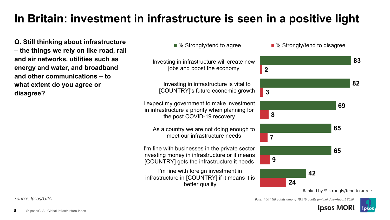### **In Britain: investment in infrastructure is seen in a positive light**

**Q. Still thinking about infrastructure – the things we rely on like road, rail and air networks, utilities such as energy and water, and broadband and other communications – to what extent do you agree or disagree?**



**Ipsos MORI** 

Ipsos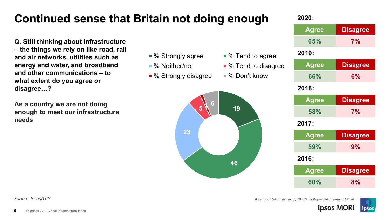### **Continued sense that Britain not doing enough**

**Q. Still thinking about infrastructure – the things we rely on like road, rail and air networks, utilities such as energy and water, and broadband and other communications – to what extent do you agree or disagree…?**

**As a country we are not doing enough to meet our infrastructure needs**



- % Neither/nor % Tend to disagree
- % Strongly disagree % Don't know



#### **2020:**

| 2020:        |                 |
|--------------|-----------------|
| <b>Agree</b> | <b>Disagree</b> |
| 65%          | 7%              |
| 2019:        |                 |
| <b>Agree</b> | <b>Disagree</b> |
| 66%          | 6%              |
| 2018:        |                 |
| <b>Agree</b> | <b>Disagree</b> |
| 58%          | 7%              |
| 2017:        |                 |
| <b>Agree</b> | <b>Disagree</b> |
| 59%          | 9%              |
| 2016:        |                 |
| Agree        | <b>Disagree</b> |
| 60%          | 8%              |
|              |                 |



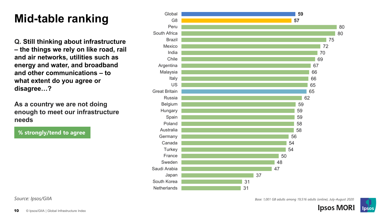### **Mid -table ranking**

**Q. Still thinking about infrastructure – the things we rely on like road, rail and air networks, utilities such as energy and water, and broadband and other communications – to what extent do you agree or disagree…?**

**As a country we are not doing enough to meet our infrastructure needs**

**% strongly/tend to agree**



*Source: Ipsos/GIIA*

*Base: 1,001 GB adults among 19,516 adults (online), July -August 2020*

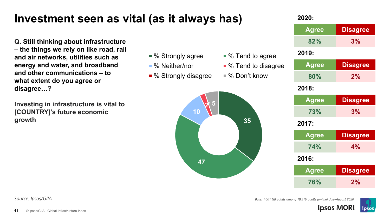#### **Investment seen as vital (as it always has)**

**Q. Still thinking about infrastructure – the things we rely on like road, rail and air networks, utilities such as energy and water, and broadband and other communications – to what extent do you agree or disagree…?**

**Investing in infrastructure is vital to [COUNTRY]'s future economic growth**



■ % Strongly disagree ■ % Don't know



#### **2020:**

| ZUZU.        |                 |
|--------------|-----------------|
| <b>Agree</b> | <b>Disagree</b> |
| 82%          | 3%              |
| 2019:        |                 |
| Agree        | <b>Disagree</b> |
| 80%          | 2%              |
| 2018:        |                 |
| <b>Agree</b> | <b>Disagree</b> |
| 73%          | 3%              |
| 2017:        |                 |
| <b>Agree</b> | <b>Disagree</b> |
| <b>74%</b>   | 4%              |
| 2016:        |                 |
| <b>Agree</b> | <b>Disagree</b> |
| 76%          | 2%              |
|              |                 |

*Source: Ipsos/GIIA*

11

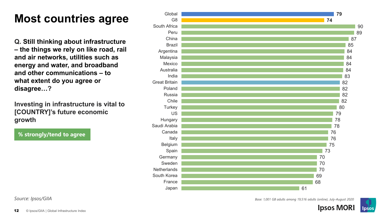### **Most countries agree**

**Q. Still thinking about infrastructure – the things we rely on like road, rail and air networks, utilities such as energy and water, and broadband and other communications – to what extent do you agree or disagree… ?**

**Investing in infrastructure is vital to [COUNTRY]'s future economic growth**

**% strongly/tend to agree**



*Source: Ipsos/GIIA*

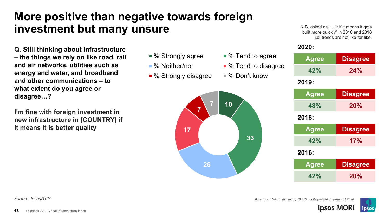#### **More positive than negative towards foreign investment but many unsure**

**Q. Still thinking about infrastructure – the things we rely on like road, rail and air networks, utilities such as energy and water, and broadband and other communications – to what extent do you agree or disagree…?**

**I'm fine with foreign investment in new infrastructure in [COUNTRY] if it means it is better quality**



N.B. asked as "… it if it means it gets built more quickly" in 2016 and 2018 i.e. trends are not like-for-like.

#### **2020:**

| <b>Agree</b> | <b>Disagree</b> |
|--------------|-----------------|
| 42%          | 24%             |
| 2019:        |                 |
| <b>Agree</b> | <b>Disagree</b> |
| 48%          | 20%             |
| 2018:        |                 |
| <b>Agree</b> | <b>Disagree</b> |
| 42%          | 17%             |
| 2016:        |                 |
| <b>Agree</b> | <b>Disagree</b> |
| 42%          | 20%             |



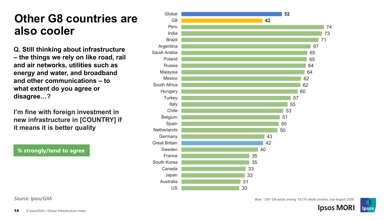#### **Other G8 countries are also cooler**

**Q. Still thinking about infrastructure – the things we rely on like road, rail and air networks, utilities such as energy and water, and broadband and other communications – to what extent do you agree or disagree…?**

**I'm fine with foreign investment in new infrastructure in [COUNTRY] if it means it is better quality**

**% strongly/tend to agree**



*Source: Ipsos/GIIA*

*Base: 1,001 GB adults among 19,516 adults (online), July-August 2020*

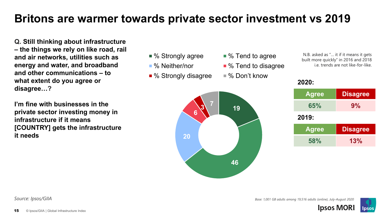### **Britons are warmer towards private sector investment vs 2019**

**Q. Still thinking about infrastructure – the things we rely on like road, rail and air networks, utilities such as energy and water, and broadband and other communications – to what extent do you agree or disagree…?**

**I'm fine with businesses in the private sector investing money in infrastructure if it means [COUNTRY] gets the infrastructure it needs**



N.B. asked as "… it if it means it gets built more quickly" in 2016 and 2018 i.e. trends are not like-for-like.

| <b>Agree</b> | <b>Disagree</b> |
|--------------|-----------------|
| 65%          | 9%              |
| 2019:        |                 |
| <b>Agree</b> | <b>Disagree</b> |
| 58%          | 13%             |

**Ipsos MOR** 

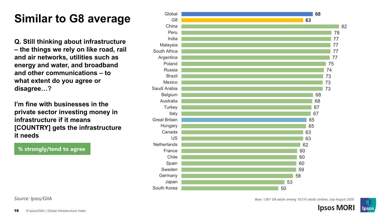### **Similar to G8 average**

**Q. Still thinking about infrastructure – the things we rely on like road, rail and air networks, utilities such as energy and water, and broadband and other communications – to what extent do you agree or disagree… ?**

**I'm fine with businesses in the private sector investing money in infrastructure if it means [COUNTRY] gets the infrastructure it needs**

#### **% strongly/tend to agree**



*Source: Ipsos/GIIA*

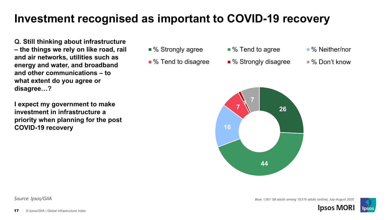#### **Investment recognised as important to COVID-19 recovery**

**Q. Still thinking about infrastructure – the things we rely on like road, rail and air networks, utilities such as energy and water, and broadband and other communications – to what extent do you agree or disagree…?**

**I expect my government to make investment in infrastructure a priority when planning for the post COVID-19 recovery**

- % Strongly agree % Tend to agree % Neither/nor
- 
- 
- % Tend to disagree % Strongly disagree % Don't know
- -



*Source: Ipsos/GIIA Base: 1,001 GB adults among 19,516 adults (online), July-August 2020*



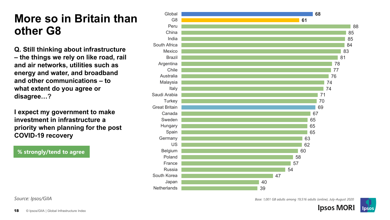#### **More so in Britain than other G8**

**Q. Still thinking about infrastructure – the things we rely on like road, rail and air networks, utilities such as energy and water, and broadband and other communications – to what extent do you agree or disagree… ?**

**I expect my government to make investment in infrastructure a priority when planning for the post COVID -19 recovery**

**% strongly/tend to agree**



**Ipsos MORI** 

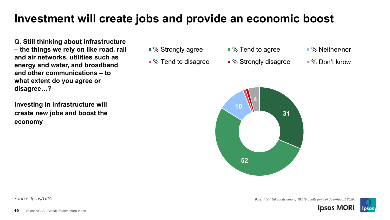#### **Investment will create jobs and provide an economic boost**

**Q. Still thinking about infrastructure – the things we rely on like road, rail and air networks, utilities such as energy and water, and broadband and other communications – to what extent do you agree or disagree…?**

**Investing in infrastructure will create new jobs and boost the economy**

- % Strongly agree % Tend to agree % Neither/nor
- 
- 
- % Tend to disagree % Strongly disagree % Don't know
- -

*Base: 1,001 GB adults among 19,516 adults (online), July-August 2020*

**Ipsos MOR** 



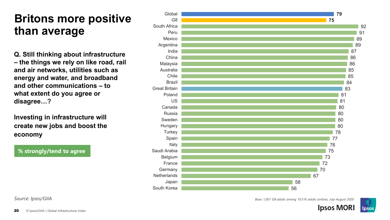#### **Britons more positive than average**

**Q. Still thinking about infrastructure – the things we rely on like road, rail and air networks, utilities such as energy and water, and broadband and other communications – to what extent do you agree or disagree… ?**

**Investing in infrastructure will create new jobs and boost the economy**

**% strongly/tend to agree**



*Source: Ipsos/GIIA*

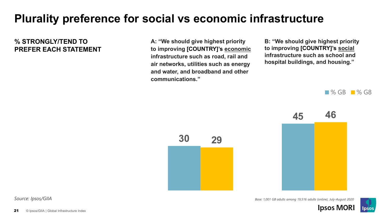### **Plurality preference for social vs economic infrastructure**

#### **% STRONGLY/TEND TO PREFER EACH STATEMENT**

**A: "We should give highest priority to improving [COUNTRY]'s economic infrastructure such as road, rail and air networks, utilities such as energy and water, and broadband and other communications."**

**B: "We should give highest priority to improving [COUNTRY]'s social infrastructure such as school and hospital buildings, and housing."**

 $\blacksquare$  % GB  $\blacksquare$  % G8



*Base: 1,001 GB adults among 19,516 adults (online), July-August 2020*

**Ipsos MORI** 



**30 29**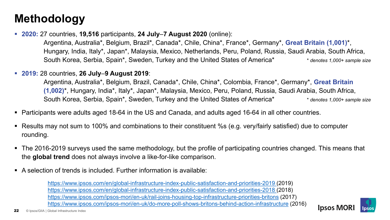### **Methodology**

**2020:** 27 countries, **19,516** participants, **24 July**–**7 August 2020** (online):

Argentina, Australia\*, Belgium, Brazil\*, Canada\*, Chile, China\*, France\*, Germany\*, **Great Britain (1,001)**\*, Hungary, India, Italy\*, Japan\*, Malaysia, Mexico, Netherlands, Peru, Poland, Russia, Saudi Arabia, South Africa, South Korea, Serbia, Spain\*, Sweden, Turkey and the United States of America\* \* *denotes 1,000+ sample size*

**2019:** 28 countries, **26 July**–**9 August 2019**:

Argentina, Australia\*, Belgium, Brazil, Canada\*, Chile, China\*, Colombia, France\*, Germany\*, **Great Britain (1,002)**\*, Hungary, India\*, Italy\*, Japan\*, Malaysia, Mexico, Peru, Poland, Russia, Saudi Arabia, South Africa, South Korea, Serbia, Spain\*, Sweden, Turkey and the United States of America\* \* *\* denotes 1,000+ sample size* 

- Participants were adults aged 18-64 in the US and Canada, and adults aged 16-64 in all other countries.
- Results may not sum to 100% and combinations to their constituent %s (e.g. very/fairly satisfied) due to computer rounding.
- The 2016-2019 surveys used the same methodology, but the profile of participating countries changed. This means that the **global trend** does not always involve a like-for-like comparison.
- A selection of trends is included. Further information is available:

[https://www.ipsos.com/en/global-infrastructure-index-public-satisfaction-and-priorities-2019 \(](https://www.ipsos.com/en/global-infrastructure-index-public-satisfaction-and-priorities-2018)2019) [https://www.ipsos.com/en/global-infrastructure-index-public-satisfaction-and-priorities-2018 \(](https://www.ipsos.com/en/global-infrastructure-index-public-satisfaction-and-priorities-2018)2018) <https://www.ipsos.com/ipsos-mori/en-uk/rail-joins-housing-top-infrastructure-priorities-britons> (2017) <https://www.ipsos.com/ipsos-mori/en-uk/do-more-poll-shows-britons-behind-action-infrastructure> (2016)